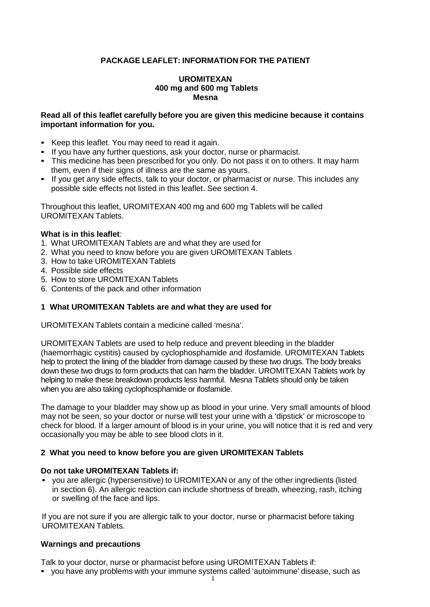# **PACKAGE LEAFLET: INFORMATION FOR THE PATIENT**

#### **UROMITEXAN 400 mg and 600 mg Tablets Mesna**

### **Read all of this leaflet carefully before you are given this medicine because it contains important information for you.**

- Keep this leaflet. You may need to read it again.
- If you have any further questions, ask your doctor, nurse or pharmacist.
- This medicine has been prescribed for you only. Do not pass it on to others. It may harm them, even if their signs of illness are the same as yours.
- If you get any side effects, talk to your doctor, or pharmacist or nurse. This includes any possible side effects not listed in this leaflet. See section 4.

Throughout this leaflet, UROMITEXAN 400 mg and 600 mg Tablets will be called UROMITEXAN Tablets.

### **What is in this leaflet**:

- 1. What UROMITEXAN Tablets are and what they are used for
- 2. What you need to know before you are given UROMITEXAN Tablets
- 3. How to take UROMITEXAN Tablets
- 4. Possible side effects
- 5. How to store UROMITEXAN Tablets
- 6. Contents of the pack and other information

#### **1 What UROMITEXAN Tablets are and what they are used for**

UROMITEXAN Tablets contain a medicine called 'mesna'.

UROMITEXAN Tablets are used to help reduce and prevent bleeding in the bladder (haemorrhagic cystitis) caused by cyclophosphamide and ifosfamide. UROMITEXAN Tablets help to protect the lining of the bladder from damage caused by these two drugs. The body breaks down these two drugs to form products that can harm the bladder. UROMITEXAN Tablets work by helping to make these breakdown products less harmful. Mesna Tablets should only be taken when you are also taking cyclophosphamide or ifosfamide.

The damage to your bladder may show up as blood in your urine. Very small amounts of blood may not be seen, so your doctor or nurse will test your urine with a 'dipstick' or microscope to check for blood. If a larger amount of blood is in your urine, you will notice that it is red and very occasionally you may be able to see blood clots in it.

#### **2 What you need to know before you are given UROMITEXAN Tablets**

#### **Do not take UROMITEXAN Tablets if:**

• you are allergic (hypersensitive) to UROMITEXAN or any of the other ingredients (listed in section 6). An allergic reaction can include shortness of breath, wheezing, rash, itching or swelling of the face and lips.

If you are not sure if you are allergic talk to your doctor, nurse or pharmacist before taking UROMITEXAN Tablets.

#### **Warnings and precautions**

Talk to your doctor, nurse or pharmacist before using UROMITEXAN Tablets if:

• you have any problems with your immune systems called 'autoimmune' disease, such as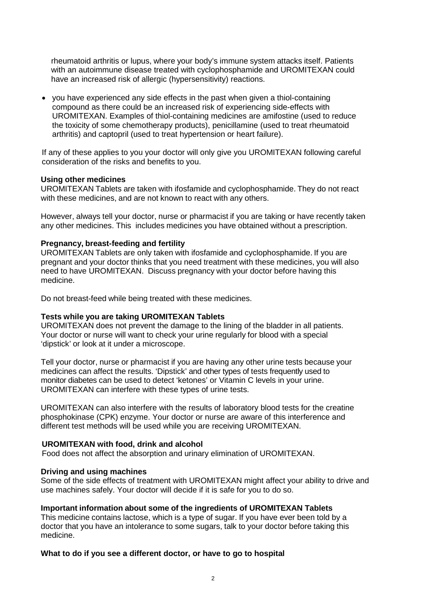rheumatoid arthritis or lupus, where your body's immune system attacks itself. Patients with an autoimmune disease treated with cyclophosphamide and UROMITEXAN could have an increased risk of allergic (hypersensitivity) reactions.

• you have experienced any side effects in the past when given a thiol-containing compound as there could be an increased risk of experiencing side-effects with UROMITEXAN. Examples of thiol-containing medicines are amifostine (used to reduce the toxicity of some chemotherapy products), penicillamine (used to treat rheumatoid arthritis) and captopril (used to treat hypertension or heart failure).

If any of these applies to you your doctor will only give you UROMITEXAN following careful consideration of the risks and benefits to you.

### **Using other medicines**

UROMITEXAN Tablets are taken with ifosfamide and cyclophosphamide. They do not react with these medicines, and are not known to react with any others.

However, always tell your doctor, nurse or pharmacist if you are taking or have recently taken any other medicines. This includes medicines you have obtained without a prescription.

### **Pregnancy, breast-feeding and fertility**

UROMITEXAN Tablets are only taken with ifosfamide and cyclophosphamide. If you are pregnant and your doctor thinks that you need treatment with these medicines, you will also need to have UROMITEXAN. Discuss pregnancy with your doctor before having this medicine.

Do not breast-feed while being treated with these medicines.

#### **Tests while you are taking UROMITEXAN Tablets**

UROMITEXAN does not prevent the damage to the lining of the bladder in all patients. Your doctor or nurse will want to check your urine regularly for blood with a special 'dipstick' or look at it under a microscope.

Tell your doctor, nurse or pharmacist if you are having any other urine tests because your medicines can affect the results. 'Dipstick' and other types of tests frequently used to monitor diabetes can be used to detect 'ketones' or Vitamin C levels in your urine. UROMITEXAN can interfere with these types of urine tests.

UROMITEXAN can also interfere with the results of laboratory blood tests for the creatine phosphokinase (CPK) enzyme. Your doctor or nurse are aware of this interference and different test methods will be used while you are receiving UROMITEXAN.

#### **UROMITEXAN with food, drink and alcohol**

Food does not affect the absorption and urinary elimination of UROMITEXAN.

#### **Driving and using machines**

Some of the side effects of treatment with UROMITEXAN might affect your ability to drive and use machines safely. Your doctor will decide if it is safe for you to do so.

#### **Important information about some of the ingredients of UROMITEXAN Tablets**

This medicine contains lactose, which is a type of sugar. If you have ever been told by a doctor that you have an intolerance to some sugars, talk to your doctor before taking this medicine.

#### **What to do if you see a different doctor, or have to go to hospital**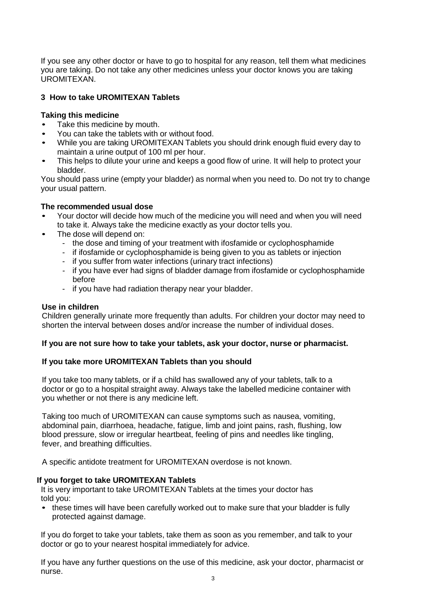If you see any other doctor or have to go to hospital for any reason, tell them what medicines you are taking. Do not take any other medicines unless your doctor knows you are taking UROMITEXAN.

# **3 How to take UROMITEXAN Tablets**

# **Taking this medicine**

- Take this medicine by mouth.
- You can take the tablets with or without food.
- While you are taking UROMITEXAN Tablets you should drink enough fluid every day to maintain a urine output of 100 ml per hour.
- This helps to dilute your urine and keeps a good flow of urine. It will help to protect your bladder.

You should pass urine (empty your bladder) as normal when you need to. Do not try to change your usual pattern.

## **The recommended usual dose**

- Your doctor will decide how much of the medicine you will need and when you will need to take it. Always take the medicine exactly as your doctor tells you.
- The dose will depend on:
	- the dose and timing of your treatment with ifosfamide or cyclophosphamide
	- if ifosfamide or cyclophosphamide is being given to you as tablets or injection
	- if you suffer from water infections (urinary tract infections)
	- if you have ever had signs of bladder damage from ifosfamide or cyclophosphamide before
	- if you have had radiation therapy near your bladder.

# **Use in children**

Children generally urinate more frequently than adults. For children your doctor may need to shorten the interval between doses and/or increase the number of individual doses.

## **If you are not sure how to take your tablets, ask your doctor, nurse or pharmacist.**

## **If you take more UROMITEXAN Tablets than you should**

If you take too many tablets, or if a child has swallowed any of your tablets, talk to a doctor or go to a hospital straight away. Always take the labelled medicine container with you whether or not there is any medicine left.

Taking too much of UROMITEXAN can cause symptoms such as nausea, vomiting, abdominal pain, diarrhoea, headache, fatigue, limb and joint pains, rash, flushing, low blood pressure, slow or irregular heartbeat, feeling of pins and needles like tingling, fever, and breathing difficulties.

A specific antidote treatment for UROMITEXAN overdose is not known.

## **If you forget to take UROMITEXAN Tablets**

It is very important to take UROMITEXAN Tablets at the times your doctor has told you:

• these times will have been carefully worked out to make sure that your bladder is fully protected against damage.

If you do forget to take your tablets, take them as soon as you remember, and talk to your doctor or go to your nearest hospital immediately for advice.

If you have any further questions on the use of this medicine, ask your doctor, pharmacist or nurse.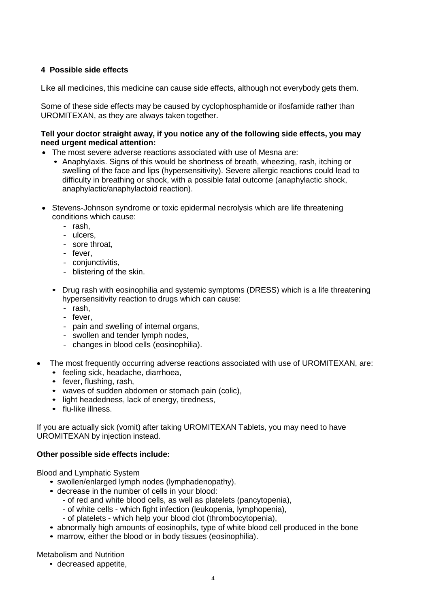# **4 Possible side effects**

Like all medicines, this medicine can cause side effects, although not everybody gets them.

Some of these side effects may be caused by cyclophosphamide or ifosfamide rather than UROMITEXAN, as they are always taken together.

## **Tell your doctor straight away, if you notice any of the following side effects, you may need urgent medical attention:**

- The most severe adverse reactions associated with use of Mesna are:
	- Anaphylaxis. Signs of this would be shortness of breath, wheezing, rash, itching or swelling of the face and lips (hypersensitivity). Severe allergic reactions could lead to difficulty in breathing or shock, with a possible fatal outcome (anaphylactic shock, anaphylactic/anaphylactoid reaction).
- Stevens-Johnson syndrome or toxic epidermal necrolysis which are life threatening conditions which cause:
	- rash,
	- ulcers,
	- sore throat,
	- fever,
	- conjunctivitis,
	- blistering of the skin.
	- Drug rash with eosinophilia and systemic symptoms (DRESS) which is a life threatening hypersensitivity reaction to drugs which can cause:
		- rash,
		- fever,
		- pain and swelling of internal organs,
		- swollen and tender lymph nodes,
		- changes in blood cells (eosinophilia).
- The most frequently occurring adverse reactions associated with use of UROMITEXAN, are:
	- feeling sick, headache, diarrhoea,
	- fever, flushing, rash,
	- waves of sudden abdomen or stomach pain (colic),
	- light headedness, lack of energy, tiredness,
	- flu-like illness.

If you are actually sick (vomit) after taking UROMITEXAN Tablets, you may need to have UROMITEXAN by injection instead.

#### **Other possible side effects include:**

Blood and Lymphatic System

- swollen/enlarged lymph nodes (lymphadenopathy).
- decrease in the number of cells in your blood:
	- of red and white blood cells, as well as platelets (pancytopenia),
	- of white cells which fight infection (leukopenia, lymphopenia),
	- of platelets which help your blood clot (thrombocytopenia),
- abnormally high amounts of eosinophils, type of white blood cell produced in the bone
- marrow, either the blood or in body tissues (eosinophilia).

Metabolism and Nutrition

• decreased appetite,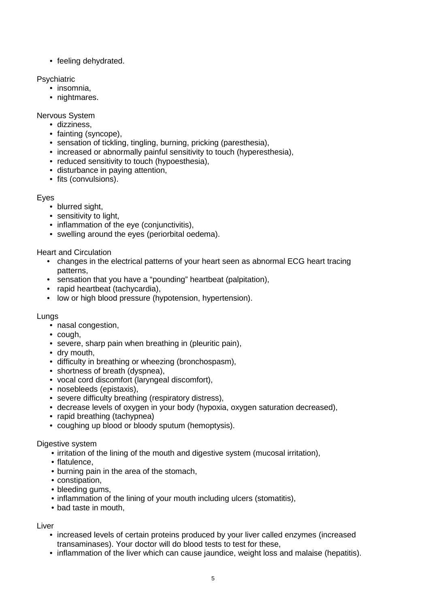• feeling dehydrated.

**Psychiatric** 

- insomnia,
- nightmares.

Nervous System

- dizziness,
- fainting (syncope),
- sensation of tickling, tingling, burning, pricking (paresthesia),
- increased or abnormally painful sensitivity to touch (hyperesthesia),
- reduced sensitivity to touch (hypoesthesia),
- disturbance in paying attention,
- fits (convulsions).

Eyes

- blurred sight,
- sensitivity to light,
- inflammation of the eye (conjunctivitis),
- swelling around the eyes (periorbital oedema).

Heart and Circulation

- changes in the electrical patterns of your heart seen as abnormal ECG heart tracing patterns,
- sensation that you have a "pounding" heartbeat (palpitation),
- rapid heartbeat (tachycardia),
- low or high blood pressure (hypotension, hypertension).

## Lungs

- nasal congestion,
- cough,
- severe, sharp pain when breathing in (pleuritic pain),
- dry mouth,
- difficulty in breathing or wheezing (bronchospasm),
- shortness of breath (dyspnea),
- vocal cord discomfort (laryngeal discomfort),
- nosebleeds (epistaxis),
- severe difficulty breathing (respiratory distress),
- decrease levels of oxygen in your body (hypoxia, oxygen saturation decreased),
- rapid breathing (tachypnea)
- coughing up blood or bloody sputum (hemoptysis).

## Digestive system

- irritation of the lining of the mouth and digestive system (mucosal irritation),
- flatulence,
- burning pain in the area of the stomach,
- constipation,
- bleeding gums,
- inflammation of the lining of your mouth including ulcers (stomatitis),
- bad taste in mouth,

# Liver

- increased levels of certain proteins produced by your liver called enzymes (increased transaminases). Your doctor will do blood tests to test for these,
- inflammation of the liver which can cause jaundice, weight loss and malaise (hepatitis).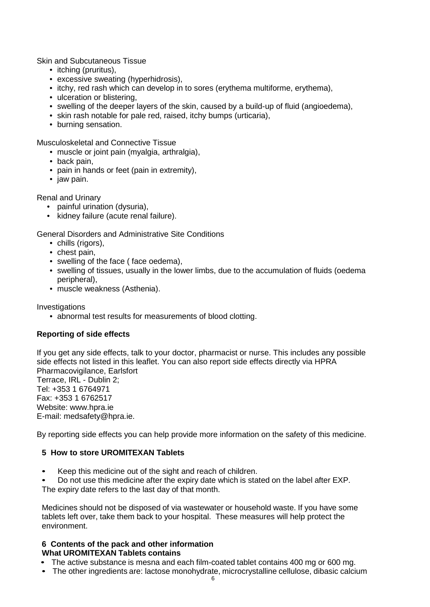Skin and Subcutaneous Tissue

- itching (pruritus),
- excessive sweating (hyperhidrosis),
- itchy, red rash which can develop in to sores (erythema multiforme, erythema),
- ulceration or blistering,
- swelling of the deeper layers of the skin, caused by a build-up of fluid (angioedema),
- skin rash notable for pale red, raised, itchy bumps (urticaria),
- burning sensation.

Musculoskeletal and Connective Tissue

- muscle or joint pain (myalgia, arthralgia),
- back pain,
- pain in hands or feet (pain in extremity),
- jaw pain.

Renal and Urinary

- painful urination (dysuria),
- kidney failure (acute renal failure).

General Disorders and Administrative Site Conditions

- chills (rigors),
- chest pain,
- swelling of the face ( face oedema),
- swelling of tissues, usually in the lower limbs, due to the accumulation of fluids (oedema peripheral),
- muscle weakness (Asthenia).

Investigations

• abnormal test results for measurements of blood clotting.

## **Reporting of side effects**

If you get any side effects, talk to your doctor, pharmacist or nurse. This includes any possible side effects not listed in this leaflet. You can also report side effects directly via HPRA Pharmacovigilance, Earlsfort Terrace, IRL - Dublin 2; Tel: +353 1 6764971 Fax: +353 1 6762517 Website: www.hpra.ie E-mail: medsafety@hpra.ie.

By reporting side effects you can help provide more information on the safety of this medicine.

## **5 How to store UROMITEXAN Tablets**

• Keep this medicine out of the sight and reach of children.

• Do not use this medicine after the expiry date which is stated on the label after EXP.

The expiry date refers to the last day of that month.

Medicines should not be disposed of via wastewater or household waste. If you have some tablets left over, take them back to your hospital. These measures will help protect the environment.

#### **6 Contents of the pack and other information What UROMITEXAN Tablets contains**

- The active substance is mesna and each film-coated tablet contains 400 mg or 600 mg.
- The other ingredients are: lactose monohydrate, microcrystalline cellulose, dibasic calcium